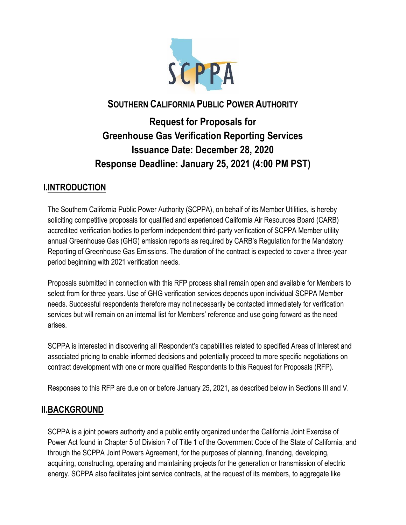

## **SOUTHERN CALIFORNIA PUBLIC POWER AUTHORITY**

# **Request for Proposals for Greenhouse Gas Verification Reporting Services Issuance Date: December 28, 2020 Response Deadline: January 25, 2021 (4:00 PM PST)**

### **I.INTRODUCTION**

The Southern California Public Power Authority (SCPPA), on behalf of its Member Utilities, is hereby soliciting competitive proposals for qualified and experienced California Air Resources Board (CARB) accredited verification bodies to perform independent third-party verification of SCPPA Member utility annual Greenhouse Gas (GHG) emission reports as required by CARB's Regulation for the Mandatory Reporting of Greenhouse Gas Emissions. The duration of the contract is expected to cover a three-year period beginning with 2021 verification needs.

Proposals submitted in connection with this RFP process shall remain open and available for Members to select from for three years. Use of GHG verification services depends upon individual SCPPA Member needs. Successful respondents therefore may not necessarily be contacted immediately for verification services but will remain on an internal list for Members' reference and use going forward as the need arises.

SCPPA is interested in discovering all Respondent's capabilities related to specified Areas of Interest and associated pricing to enable informed decisions and potentially proceed to more specific negotiations on contract development with one or more qualified Respondents to this Request for Proposals (RFP).

Responses to this RFP are due on or before January 25, 2021, as described below in Sections III and V.

### **II.BACKGROUND**

SCPPA is a joint powers authority and a public entity organized under the California Joint Exercise of Power Act found in Chapter 5 of Division 7 of Title 1 of the Government Code of the State of California, and through the SCPPA Joint Powers Agreement, for the purposes of planning, financing, developing, acquiring, constructing, operating and maintaining projects for the generation or transmission of electric energy. SCPPA also facilitates joint service contracts, at the request of its members, to aggregate like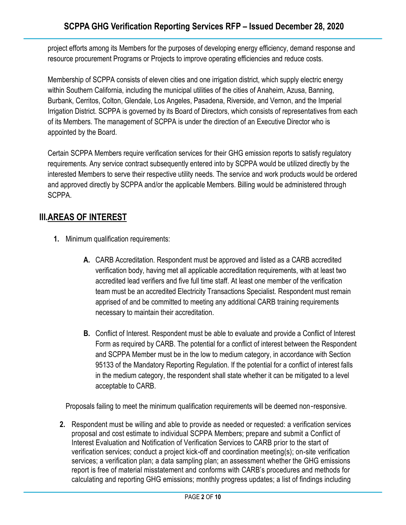project efforts among its Members for the purposes of developing energy efficiency, demand response and resource procurement Programs or Projects to improve operating efficiencies and reduce costs.

Membership of SCPPA consists of eleven cities and one irrigation district, which supply electric energy within Southern California, including the municipal utilities of the cities of Anaheim, Azusa, Banning, Burbank, Cerritos, Colton, Glendale, Los Angeles, Pasadena, Riverside, and Vernon, and the Imperial Irrigation District. SCPPA is governed by its Board of Directors, which consists of representatives from each of its Members. The management of SCPPA is under the direction of an Executive Director who is appointed by the Board.

Certain SCPPA Members require verification services for their GHG emission reports to satisfy regulatory requirements. Any service contract subsequently entered into by SCPPA would be utilized directly by the interested Members to serve their respective utility needs. The service and work products would be ordered and approved directly by SCPPA and/or the applicable Members. Billing would be administered through SCPPA.

### **III.AREAS OF INTEREST**

- **1.** Minimum qualification requirements:
	- **A.** CARB Accreditation. Respondent must be approved and listed as a CARB accredited verification body, having met all applicable accreditation requirements, with at least two accredited lead verifiers and five full time staff. At least one member of the verification team must be an accredited Electricity Transactions Specialist. Respondent must remain apprised of and be committed to meeting any additional CARB training requirements necessary to maintain their accreditation.
	- **B.** Conflict of Interest. Respondent must be able to evaluate and provide a Conflict of Interest Form as required by CARB. The potential for a conflict of interest between the Respondent and SCPPA Member must be in the low to medium category, in accordance with Section 95133 of the Mandatory Reporting Regulation. If the potential for a conflict of interest falls in the medium category, the respondent shall state whether it can be mitigated to a level acceptable to CARB.

Proposals failing to meet the minimum qualification requirements will be deemed non‐responsive.

**2.** Respondent must be willing and able to provide as needed or requested: a verification services proposal and cost estimate to individual SCPPA Members; prepare and submit a Conflict of Interest Evaluation and Notification of Verification Services to CARB prior to the start of verification services; conduct a project kick-off and coordination meeting(s); on-site verification services; a verification plan; a data sampling plan; an assessment whether the GHG emissions report is free of material misstatement and conforms with CARB's procedures and methods for calculating and reporting GHG emissions; monthly progress updates; a list of findings including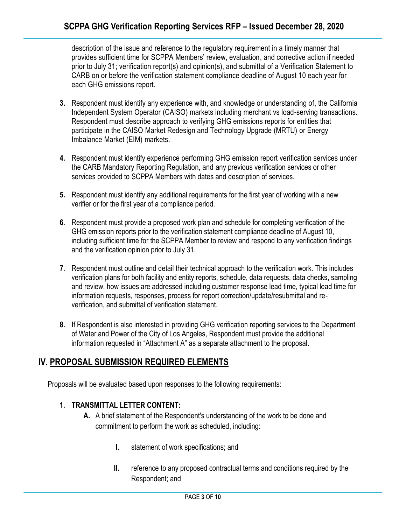description of the issue and reference to the regulatory requirement in a timely manner that provides sufficient time for SCPPA Members' review, evaluation, and corrective action if needed prior to July 31; verification report(s) and opinion(s), and submittal of a Verification Statement to CARB on or before the verification statement compliance deadline of August 10 each year for each GHG emissions report.

- **3.** Respondent must identify any experience with, and knowledge or understanding of, the California Independent System Operator (CAISO) markets including merchant vs load-serving transactions. Respondent must describe approach to verifying GHG emissions reports for entities that participate in the CAISO Market Redesign and Technology Upgrade (MRTU) or Energy Imbalance Market (EIM) markets.
- **4.** Respondent must identify experience performing GHG emission report verification services under the CARB Mandatory Reporting Regulation, and any previous verification services or other services provided to SCPPA Members with dates and description of services.
- **5.** Respondent must identify any additional requirements for the first year of working with a new verifier or for the first year of a compliance period.
- **6.** Respondent must provide a proposed work plan and schedule for completing verification of the GHG emission reports prior to the verification statement compliance deadline of August 10, including sufficient time for the SCPPA Member to review and respond to any verification findings and the verification opinion prior to July 31.
- **7.** Respondent must outline and detail their technical approach to the verification work. This includes verification plans for both facility and entity reports, schedule, data requests, data checks, sampling and review, how issues are addressed including customer response lead time, typical lead time for information requests, responses, process for report correction/update/resubmittal and reverification, and submittal of verification statement.
- **8.** If Respondent is also interested in providing GHG verification reporting services to the Department of Water and Power of the City of Los Angeles, Respondent must provide the additional information requested in "Attachment A" as a separate attachment to the proposal.

### **IV. PROPOSAL SUBMISSION REQUIRED ELEMENTS**

Proposals will be evaluated based upon responses to the following requirements:

### **1. TRANSMITTAL LETTER CONTENT:**

- **A.** A brief statement of the Respondent's understanding of the work to be done and commitment to perform the work as scheduled, including:
	- **I.** statement of work specifications; and
	- **II.** reference to any proposed contractual terms and conditions required by the Respondent; and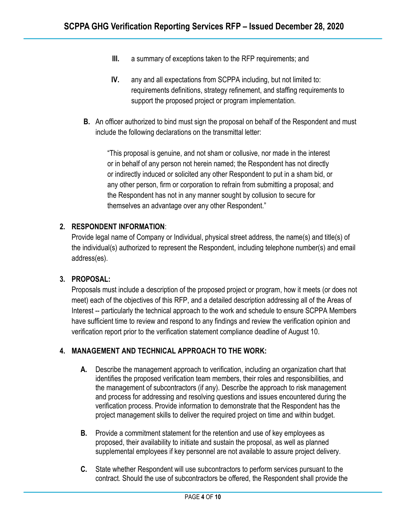- **III.** a summary of exceptions taken to the RFP requirements; and
- **IV.** any and all expectations from SCPPA including, but not limited to: requirements definitions, strategy refinement, and staffing requirements to support the proposed project or program implementation.
- **B.** An officer authorized to bind must sign the proposal on behalf of the Respondent and must include the following declarations on the transmittal letter:

"This proposal is genuine, and not sham or collusive, nor made in the interest or in behalf of any person not herein named; the Respondent has not directly or indirectly induced or solicited any other Respondent to put in a sham bid, or any other person, firm or corporation to refrain from submitting a proposal; and the Respondent has not in any manner sought by collusion to secure for themselves an advantage over any other Respondent."

### **2. RESPONDENT INFORMATION**:

Provide legal name of Company or Individual, physical street address, the name(s) and title(s) of the individual(s) authorized to represent the Respondent, including telephone number(s) and email address(es).

### **3. PROPOSAL:**

Proposals must include a description of the proposed project or program, how it meets (or does not meet) each of the objectives of this RFP, and a detailed description addressing all of the Areas of Interest -- particularly the technical approach to the work and schedule to ensure SCPPA Members have sufficient time to review and respond to any findings and review the verification opinion and verification report prior to the verification statement compliance deadline of August 10.

### **4. MANAGEMENT AND TECHNICAL APPROACH TO THE WORK:**

- **A.** Describe the management approach to verification, including an organization chart that identifies the proposed verification team members, their roles and responsibilities, and the management of subcontractors (if any). Describe the approach to risk management and process for addressing and resolving questions and issues encountered during the verification process. Provide information to demonstrate that the Respondent has the project management skills to deliver the required project on time and within budget.
- **B.** Provide a commitment statement for the retention and use of key employees as proposed, their availability to initiate and sustain the proposal, as well as planned supplemental employees if key personnel are not available to assure project delivery.
- **C.** State whether Respondent will use subcontractors to perform services pursuant to the contract. Should the use of subcontractors be offered, the Respondent shall provide the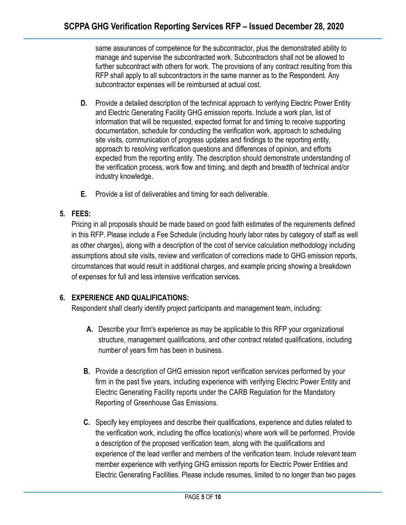same assurances of competence for the subcontractor, plus the demonstrated ability to manage and supervise the subcontracted work. Subcontractors shall not be allowed to further subcontract with others for work. The provisions of any contract resulting from this RFP shall apply to all subcontractors in the same manner as to the Respondent. Any subcontractor expenses will be reimbursed at actual cost.

- **D.** Provide a detailed description of the technical approach to verifying Electric Power Entity and Electric Generating Facility GHG emission reports. Include a work plan, list of information that will be requested, expected format for and timing to receive supporting documentation, schedule for conducting the verification work, approach to scheduling site visits, communication of progress updates and findings to the reporting entity, approach to resolving verification questions and differences of opinion, and efforts expected from the reporting entity. The description should demonstrate understanding of the verification process, work flow and timing, and depth and breadth of technical and/or industry knowledge.
- **E.** Provide a list of deliverables and timing for each deliverable.

### **5. FEES:**

Pricing in all proposals should be made based on good faith estimates of the requirements defined in this RFP. Please include a Fee Schedule (including hourly labor rates by category of staff as well as other charges), along with a description of the cost of service calculation methodology including assumptions about site visits, review and verification of corrections made to GHG emission reports, circumstances that would result in additional charges, and example pricing showing a breakdown of expenses for full and less intensive verification services.

### **6. EXPERIENCE AND QUALIFICATIONS:**

Respondent shall clearly identify project participants and management team, including:

- **A.** Describe your firm's experience as may be applicable to this RFP your organizational structure, management qualifications, and other contract related qualifications, including number of years firm has been in business.
- **B.** Provide a description of GHG emission report verification services performed by your firm in the past five years, including experience with verifying Electric Power Entity and Electric Generating Facility reports under the CARB Regulation for the Mandatory Reporting of Greenhouse Gas Emissions.
- **C.** Specify key employees and describe their qualifications, experience and duties related to the verification work, including the office location(s) where work will be performed. Provide a description of the proposed verification team, along with the qualifications and experience of the lead verifier and members of the verification team. Include relevant team member experience with verifying GHG emission reports for Electric Power Entities and Electric Generating Facilities. Please include resumes, limited to no longer than two pages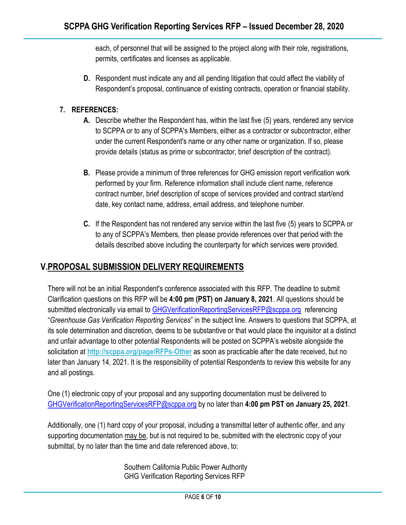each, of personnel that will be assigned to the project along with their role, registrations, permits, certificates and licenses as applicable.

**D.** Respondent must indicate any and all pending litigation that could affect the viability of Respondent's proposal, continuance of existing contracts, operation or financial stability.

### **7. REFERENCES:**

- **A.** Describe whether the Respondent has, within the last five (5) years, rendered any service to SCPPA or to any of SCPPA's Members, either as a contractor or subcontractor, either under the current Respondent's name or any other name or organization. If so, please provide details (status as prime or subcontractor, brief description of the contract).
- **B.** Please provide a minimum of three references for GHG emission report verification work performed by your firm. Reference information shall include client name, reference contract number, brief description of scope of services provided and contract start/end date, key contact name, address, email address, and telephone number.
- **C.** If the Respondent has not rendered any service within the last five (5) years to SCPPA or to any of SCPPA's Members, then please provide references over that period with the details described above including the counterparty for which services were provided.

### **V.PROPOSAL SUBMISSION DELIVERY REQUIREMENTS**

There will not be an initial Respondent's conference associated with this RFP. The deadline to submit Clarification questions on this RFP will be **4:00 pm (PST) on January 8, 2021**. All questions should be submitted electronically via email to [GHGVerificationReportingServicesRFP@scppa.org](mailto:GHGVerificationReportingServicesRFP@scppa.org) referencing "*Greenhouse Gas Verification Reporting Services*" in the subject line. Answers to questions that SCPPA, at its sole determination and discretion, deems to be substantive or that would place the inquisitor at a distinct and unfair advantage to other potential Respondents will be posted on SCPPA's website alongside the solicitation at **<http://scppa.org/page/RFPs-Other>** as soon as practicable after the date received, but no later than January 14, 2021. It is the responsibility of potential Respondents to review this website for any and all postings.

One (1) electronic copy of your proposal and any supporting documentation must be delivered to [GHGVerificationReportingServicesRFP@scppa.org](mailto:GHGVerificationReportingServicesRFP@scppa.org) by no later than **4:00 pm PST on January 25, 2021**.

Additionally, one (1) hard copy of your proposal, including a transmittal letter of authentic offer, and any supporting documentation may be, but is not required to be, submitted with the electronic copy of your submittal, by no later than the time and date referenced above, to:

> Southern California Public Power Authority GHG Verification Reporting Services RFP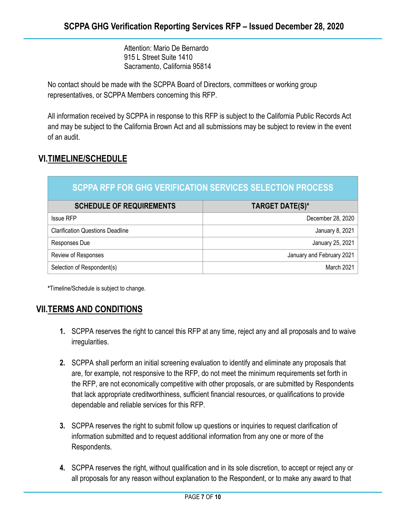Attention: Mario De Bernardo 915 L Street Suite 1410 Sacramento, California 95814

No contact should be made with the SCPPA Board of Directors, committees or working group representatives, or SCPPA Members concerning this RFP.

All information received by SCPPA in response to this RFP is subject to the California Public Records Act and may be subject to the California Brown Act and all submissions may be subject to review in the event of an audit.

### **VI.TIMELINE/SCHEDULE**

| <b>SCPPA RFP FOR GHG VERIFICATION SERVICES SELECTION PROCESS</b> |                           |
|------------------------------------------------------------------|---------------------------|
| <b>SCHEDULE OF REQUIREMENTS</b>                                  | <b>TARGET DATE(S)*</b>    |
| <b>Issue RFP</b>                                                 | December 28, 2020         |
| <b>Clarification Questions Deadline</b>                          | January 8, 2021           |
| Responses Due                                                    | January 25, 2021          |
| Review of Responses                                              | January and February 2021 |
| Selection of Respondent(s)                                       | March 2021                |

**\***Timeline/Schedule is subject to change.

### **VII.TERMS AND CONDITIONS**

- **1.** SCPPA reserves the right to cancel this RFP at any time, reject any and all proposals and to waive irregularities.
- **2.** SCPPA shall perform an initial screening evaluation to identify and eliminate any proposals that are, for example, not responsive to the RFP, do not meet the minimum requirements set forth in the RFP, are not economically competitive with other proposals, or are submitted by Respondents that lack appropriate creditworthiness, sufficient financial resources, or qualifications to provide dependable and reliable services for this RFP.
- **3.** SCPPA reserves the right to submit follow up questions or inquiries to request clarification of information submitted and to request additional information from any one or more of the Respondents.
- **4.** SCPPA reserves the right, without qualification and in its sole discretion, to accept or reject any or all proposals for any reason without explanation to the Respondent, or to make any award to that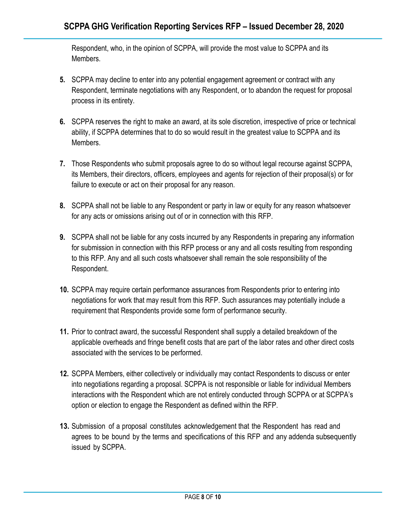Respondent, who, in the opinion of SCPPA, will provide the most value to SCPPA and its Members.

- **5.** SCPPA may decline to enter into any potential engagement agreement or contract with any Respondent, terminate negotiations with any Respondent, or to abandon the request for proposal process in its entirety.
- **6.** SCPPA reserves the right to make an award, at its sole discretion, irrespective of price or technical ability, if SCPPA determines that to do so would result in the greatest value to SCPPA and its Members.
- **7.** Those Respondents who submit proposals agree to do so without legal recourse against SCPPA, its Members, their directors, officers, employees and agents for rejection of their proposal(s) or for failure to execute or act on their proposal for any reason.
- **8.** SCPPA shall not be liable to any Respondent or party in law or equity for any reason whatsoever for any acts or omissions arising out of or in connection with this RFP.
- **9.** SCPPA shall not be liable for any costs incurred by any Respondents in preparing any information for submission in connection with this RFP process or any and all costs resulting from responding to this RFP. Any and all such costs whatsoever shall remain the sole responsibility of the Respondent.
- **10.** SCPPA may require certain performance assurances from Respondents prior to entering into negotiations for work that may result from this RFP. Such assurances may potentially include a requirement that Respondents provide some form of performance security.
- **11.** Prior to contract award, the successful Respondent shall supply a detailed breakdown of the applicable overheads and fringe benefit costs that are part of the labor rates and other direct costs associated with the services to be performed.
- **12.** SCPPA Members, either collectively or individually may contact Respondents to discuss or enter into negotiations regarding a proposal. SCPPA is not responsible or liable for individual Members interactions with the Respondent which are not entirely conducted through SCPPA or at SCPPA's option or election to engage the Respondent as defined within the RFP.
- **13.** Submission of a proposal constitutes acknowledgement that the Respondent has read and agrees to be bound by the terms and specifications of this RFP and any addenda subsequently issued by SCPPA.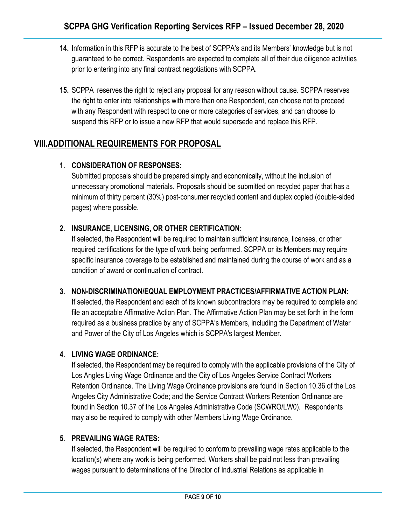- **14.** Information in this RFP is accurate to the best of SCPPA's and its Members' knowledge but is not guaranteed to be correct. Respondents are expected to complete all of their due diligence activities prior to entering into any final contract negotiations with SCPPA.
- **15.** SCPPA reserves the right to reject any proposal for any reason without cause. SCPPA reserves the right to enter into relationships with more than one Respondent, can choose not to proceed with any Respondent with respect to one or more categories of services, and can choose to suspend this RFP or to issue a new RFP that would supersede and replace this RFP.

### **VIII.ADDITIONAL REQUIREMENTS FOR PROPOSAL**

### **1. CONSIDERATION OF RESPONSES:**

Submitted proposals should be prepared simply and economically, without the inclusion of unnecessary promotional materials. Proposals should be submitted on recycled paper that has a minimum of thirty percent (30%) post-consumer recycled content and duplex copied (double-sided pages) where possible.

### **2. INSURANCE, LICENSING, OR OTHER CERTIFICATION:**

If selected, the Respondent will be required to maintain sufficient insurance, licenses, or other required certifications for the type of work being performed. SCPPA or its Members may require specific insurance coverage to be established and maintained during the course of work and as a condition of award or continuation of contract.

### **3. NON-DISCRIMINATION/EQUAL EMPLOYMENT PRACTICES/AFFIRMATIVE ACTION PLAN:**

If selected, the Respondent and each of its known subcontractors may be required to complete and file an acceptable Affirmative Action Plan. The Affirmative Action Plan may be set forth in the form required as a business practice by any of SCPPA's Members, including the Department of Water and Power of the City of Los Angeles which is SCPPA's largest Member.

### **4. LIVING WAGE ORDINANCE:**

If selected, the Respondent may be required to comply with the applicable provisions of the City of Los Angles Living Wage Ordinance and the City of Los Angeles Service Contract Workers Retention Ordinance. The Living Wage Ordinance provisions are found in Section 10.36 of the Los Angeles City Administrative Code; and the Service Contract Workers Retention Ordinance are found in Section 10.37 of the Los Angeles Administrative Code (SCWRO/LW0). Respondents may also be required to comply with other Members Living Wage Ordinance.

### **5. PREVAILING WAGE RATES:**

If selected, the Respondent will be required to conform to prevailing wage rates applicable to the location(s) where any work is being performed. Workers shall be paid not less than prevailing wages pursuant to determinations of the Director of Industrial Relations as applicable in